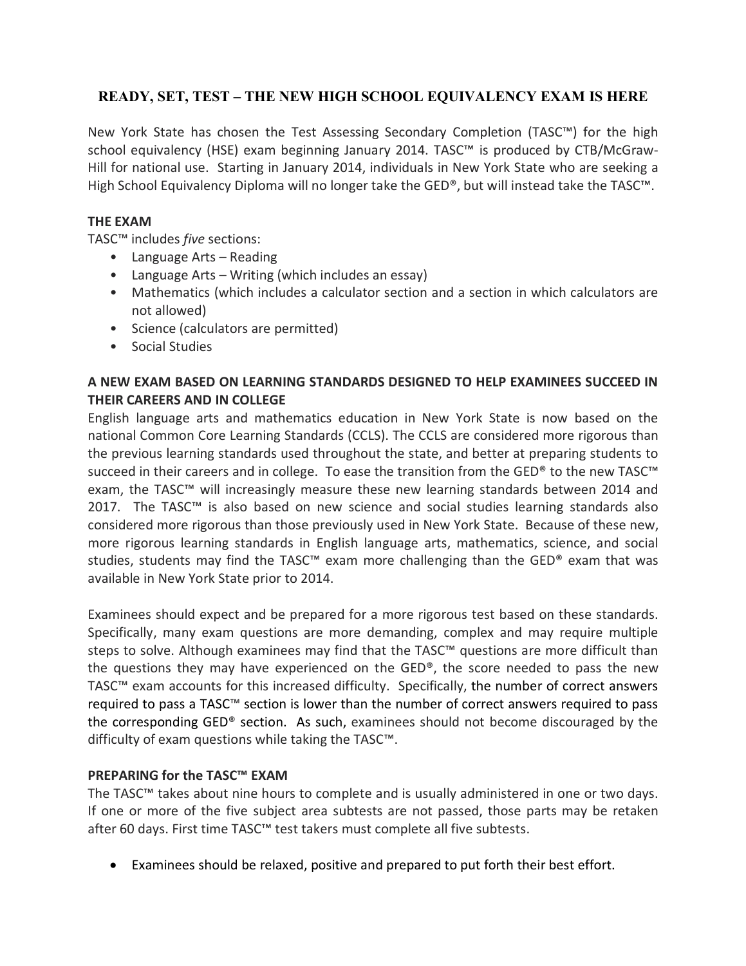## **READY, SET, TEST – THE NEW HIGH SCHOOL EQUIVALENCY EXAM IS HERE**

New York State has chosen the Test Assessing Secondary Completion (TASC™) for the high school equivalency (HSE) exam beginning January 2014. TASC™ is produced by CTB/McGraw‐ Hill for national use. Starting in January 2014, individuals in New York State who are seeking a High School Equivalency Diploma will no longer take the GED®, but will instead take the TASC™.

## **THE EXAM**

TASC™ includes *five* sections:

- Language Arts Reading
- Language Arts Writing (which includes an essay)
- Mathematics (which includes a calculator section and a section in which calculators are not allowed)
- Science (calculators are permitted)
- Social Studies

## **A NEW EXAM BASED ON LEARNING STANDARDS DESIGNED TO HELP EXAMINEES SUCCEED IN THEIR CAREERS AND IN COLLEGE**

English language arts and mathematics education in New York State is now based on the national Common Core Learning Standards (CCLS). The CCLS are considered more rigorous than the previous learning standards used throughout the state, and better at preparing students to succeed in their careers and in college. To ease the transition from the GED® to the new TASC™ exam, the TASC<sup>™</sup> will increasingly measure these new learning standards between 2014 and 2017. The TASC<sup>™</sup> is also based on new science and social studies learning standards also considered more rigorous than those previously used in New York State. Because of these new, more rigorous learning standards in English language arts, mathematics, science, and social studies, students may find the TASC<sup>™</sup> exam more challenging than the GED<sup>®</sup> exam that was available in New York State prior to 2014.

Examinees should expect and be prepared for a more rigorous test based on these standards. Specifically, many exam questions are more demanding, complex and may require multiple steps to solve. Although examinees may find that the TASC™ questions are more difficult than the questions they may have experienced on the  $GED^{\circ}$ , the score needed to pass the new TASC™ exam accounts for this increased difficulty. Specifically, the number of correct answers required to pass a TASC™ section is lower than the number of correct answers required to pass the corresponding GED® section. As such, examinees should not become discouraged by the difficulty of exam questions while taking the TASC™.

## **PREPARING for the TASC™ EXAM**

The TASC™ takes about nine hours to complete and is usually administered in one or two days. If one or more of the five subject area subtests are not passed, those parts may be retaken after 60 days. First time TASC™ test takers must complete all five subtests.

· Examinees should be relaxed, positive and prepared to put forth their best effort.